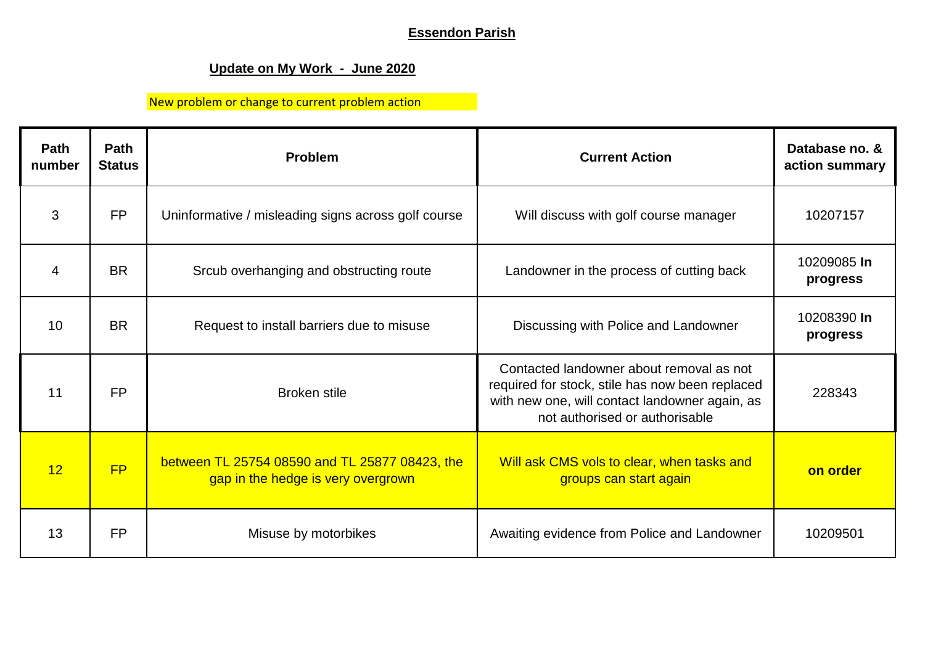# **Essendon Parish**

# **Update on My Work - June 2020**

# New problem or change to current problem action

| <b>Path</b><br>number | <b>Path</b><br><b>Status</b> | <b>Problem</b>                                                                       | <b>Current Action</b>                                                                                                                                                           | Database no. &<br>action summary |
|-----------------------|------------------------------|--------------------------------------------------------------------------------------|---------------------------------------------------------------------------------------------------------------------------------------------------------------------------------|----------------------------------|
| 3                     | <b>FP</b>                    | Uninformative / misleading signs across golf course                                  | Will discuss with golf course manager                                                                                                                                           | 10207157                         |
| 4                     | <b>BR</b>                    | Srcub overhanging and obstructing route                                              | Landowner in the process of cutting back                                                                                                                                        | 10209085 In<br>progress          |
| 10                    | <b>BR</b>                    | Request to install barriers due to misuse                                            | Discussing with Police and Landowner                                                                                                                                            | 10208390 In<br>progress          |
| 11                    | <b>FP</b>                    | <b>Broken stile</b>                                                                  | Contacted landowner about removal as not<br>required for stock, stile has now been replaced<br>with new one, will contact landowner again, as<br>not authorised or authorisable | 228343                           |
| 12                    | FP                           | between TL 25754 08590 and TL 25877 08423, the<br>gap in the hedge is very overgrown | Will ask CMS vols to clear, when tasks and<br>groups can start again                                                                                                            | on order                         |
| 13                    | <b>FP</b>                    | Misuse by motorbikes                                                                 | Awaiting evidence from Police and Landowner                                                                                                                                     | 10209501                         |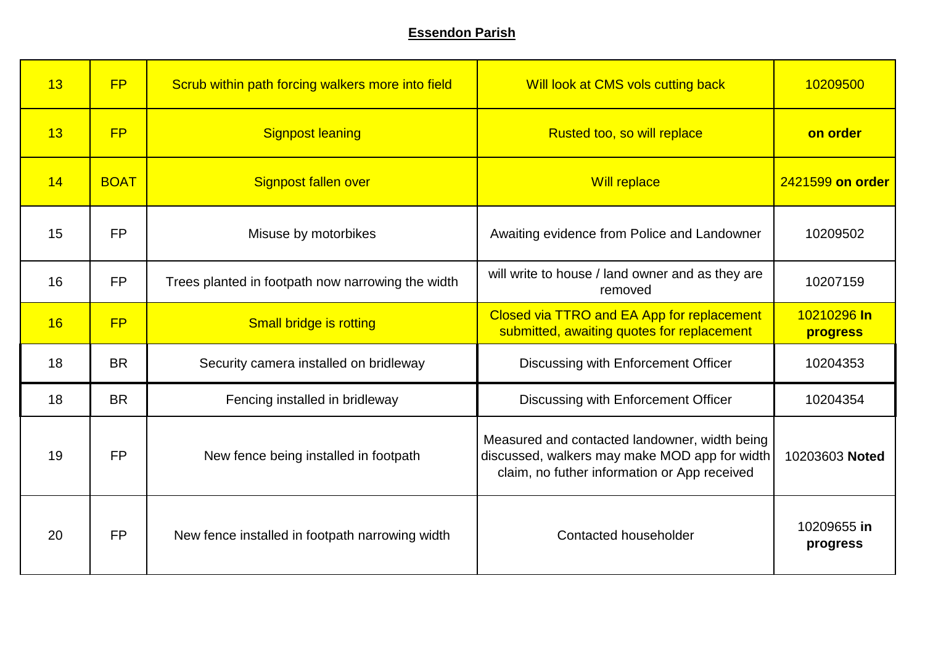### **Essendon Parish**

| 13 | FP          | Scrub within path forcing walkers more into field | Will look at CMS vols cutting back                                                                                                             | 10209500                |
|----|-------------|---------------------------------------------------|------------------------------------------------------------------------------------------------------------------------------------------------|-------------------------|
| 13 | FP          | <b>Signpost leaning</b>                           | Rusted too, so will replace                                                                                                                    | on order                |
| 14 | <b>BOAT</b> | Signpost fallen over                              | <b>Will replace</b>                                                                                                                            | 2421599 on order        |
| 15 | <b>FP</b>   | Misuse by motorbikes                              | Awaiting evidence from Police and Landowner                                                                                                    | 10209502                |
| 16 | <b>FP</b>   | Trees planted in footpath now narrowing the width | will write to house / land owner and as they are<br>removed                                                                                    | 10207159                |
| 16 | <b>FP</b>   | Small bridge is rotting                           | Closed via TTRO and EA App for replacement<br>submitted, awaiting quotes for replacement                                                       | 10210296 In<br>progress |
| 18 | <b>BR</b>   | Security camera installed on bridleway            | Discussing with Enforcement Officer                                                                                                            | 10204353                |
| 18 | <b>BR</b>   | Fencing installed in bridleway                    | Discussing with Enforcement Officer                                                                                                            | 10204354                |
| 19 | <b>FP</b>   | New fence being installed in footpath             | Measured and contacted landowner, width being<br>discussed, walkers may make MOD app for width<br>claim, no futher information or App received | 10203603 Noted          |
| 20 | <b>FP</b>   | New fence installed in footpath narrowing width   | Contacted householder                                                                                                                          | 10209655 in<br>progress |